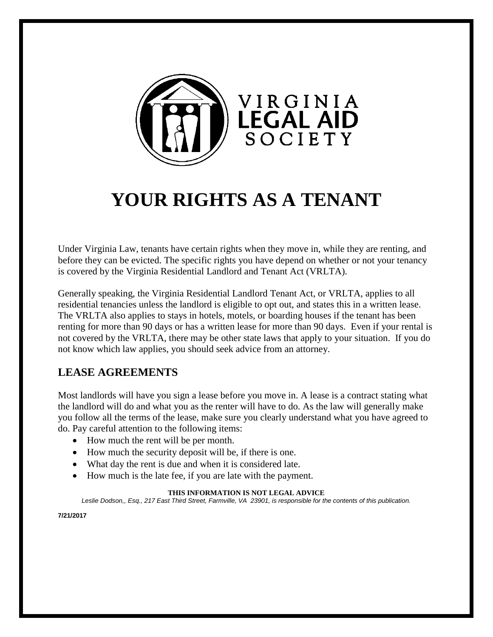

# **YOUR RIGHTS AS A TENANT**

Under Virginia Law, tenants have certain rights when they move in, while they are renting, and before they can be evicted. The specific rights you have depend on whether or not your tenancy is covered by the Virginia Residential Landlord and Tenant Act (VRLTA).

Generally speaking, the Virginia Residential Landlord Tenant Act, or VRLTA, applies to all residential tenancies unless the landlord is eligible to opt out, and states this in a written lease. The VRLTA also applies to stays in hotels, motels, or boarding houses if the tenant has been renting for more than 90 days or has a written lease for more than 90 days. Even if your rental is not covered by the VRLTA, there may be other state laws that apply to your situation. If you do not know which law applies, you should seek advice from an attorney.

### **LEASE AGREEMENTS**

Most landlords will have you sign a lease before you move in. A lease is a contract stating what the landlord will do and what you as the renter will have to do. As the law will generally make you follow all the terms of the lease, make sure you clearly understand what you have agreed to do. Pay careful attention to the following items:

- How much the rent will be per month.
- How much the security deposit will be, if there is one.
- What day the rent is due and when it is considered late.
- How much is the late fee, if you are late with the payment.

#### **THIS INFORMATION IS NOT LEGAL ADVICE**

*Leslie Dodson,, Esq., 217 East Third Street, Farmville, VA 23901, is responsible for the contents of this publication.*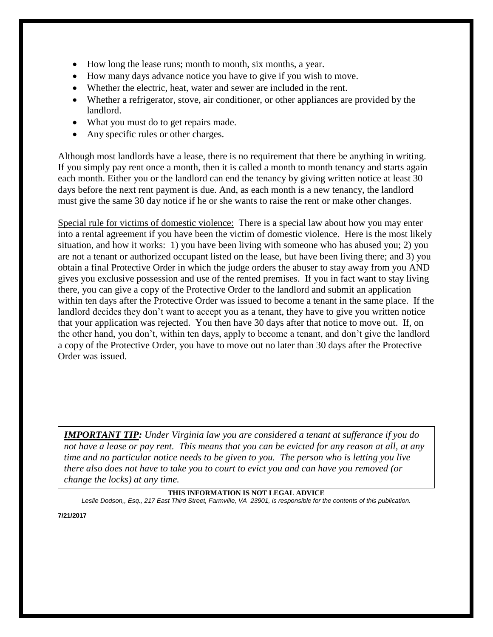- How long the lease runs; month to month, six months, a year.
- How many days advance notice you have to give if you wish to move.
- Whether the electric, heat, water and sewer are included in the rent.
- Whether a refrigerator, stove, air conditioner, or other appliances are provided by the landlord.
- What you must do to get repairs made.
- Any specific rules or other charges.

Although most landlords have a lease, there is no requirement that there be anything in writing. If you simply pay rent once a month, then it is called a month to month tenancy and starts again each month. Either you or the landlord can end the tenancy by giving written notice at least 30 days before the next rent payment is due. And, as each month is a new tenancy, the landlord must give the same 30 day notice if he or she wants to raise the rent or make other changes.

Special rule for victims of domestic violence: There is a special law about how you may enter into a rental agreement if you have been the victim of domestic violence. Here is the most likely situation, and how it works: 1) you have been living with someone who has abused you; 2) you are not a tenant or authorized occupant listed on the lease, but have been living there; and 3) you obtain a final Protective Order in which the judge orders the abuser to stay away from you AND gives you exclusive possession and use of the rented premises. If you in fact want to stay living there, you can give a copy of the Protective Order to the landlord and submit an application within ten days after the Protective Order was issued to become a tenant in the same place. If the landlord decides they don't want to accept you as a tenant, they have to give you written notice that your application was rejected. You then have 30 days after that notice to move out. If, on the other hand, you don't, within ten days, apply to become a tenant, and don't give the landlord a copy of the Protective Order, you have to move out no later than 30 days after the Protective Order was issued.

*IMPORTANT TIP: Under Virginia law you are considered a tenant at sufferance if you do not have a lease or pay rent. This means that you can be evicted for any reason at all, at any time and no particular notice needs to be given to you. The person who is letting you live there also does not have to take you to court to evict you and can have you removed (or change the locks) at any time.*

#### **THIS INFORMATION IS NOT LEGAL ADVICE**

*Leslie Dodson,, Esq., 217 East Third Street, Farmville, VA 23901, is responsible for the contents of this publication.*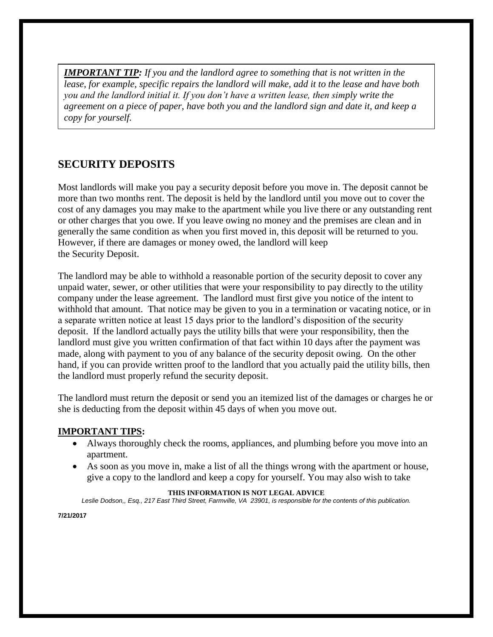*IMPORTANT TIP: If you and the landlord agree to something that is not written in the lease, for example, specific repairs the landlord will make, add it to the lease and have both you and the landlord initial it. If you don't have a written lease, then simply write the agreement on a piece of paper, have both you and the landlord sign and date it, and keep a copy for yourself.*

### **SECURITY DEPOSITS**

Most landlords will make you pay a security deposit before you move in. The deposit cannot be more than two months rent. The deposit is held by the landlord until you move out to cover the cost of any damages you may make to the apartment while you live there or any outstanding rent or other charges that you owe. If you leave owing no money and the premises are clean and in generally the same condition as when you first moved in, this deposit will be returned to you. However, if there are damages or money owed, the landlord will keep the Security Deposit.

The landlord may be able to withhold a reasonable portion of the security deposit to cover any unpaid water, sewer, or other utilities that were your responsibility to pay directly to the utility company under the lease agreement. The landlord must first give you notice of the intent to withhold that amount. That notice may be given to you in a termination or vacating notice, or in a separate written notice at least 15 days prior to the landlord's disposition of the security deposit. If the landlord actually pays the utility bills that were your responsibility, then the landlord must give you written confirmation of that fact within 10 days after the payment was made, along with payment to you of any balance of the security deposit owing. On the other hand, if you can provide written proof to the landlord that you actually paid the utility bills, then the landlord must properly refund the security deposit.

The landlord must return the deposit or send you an itemized list of the damages or charges he or she is deducting from the deposit within 45 days of when you move out.

### **IMPORTANT TIPS:**

- Always thoroughly check the rooms, appliances, and plumbing before you move into an apartment.
- As soon as you move in, make a list of all the things wrong with the apartment or house, give a copy to the landlord and keep a copy for yourself. You may also wish to take

#### **THIS INFORMATION IS NOT LEGAL ADVICE**

*Leslie Dodson,, Esq., 217 East Third Street, Farmville, VA 23901, is responsible for the contents of this publication.*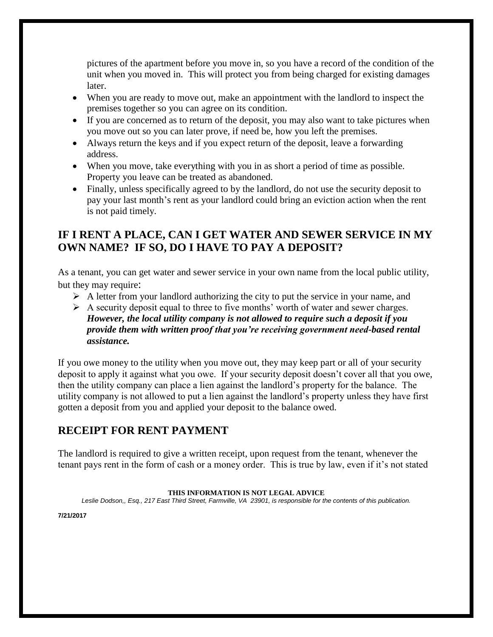pictures of the apartment before you move in, so you have a record of the condition of the unit when you moved in. This will protect you from being charged for existing damages later.

- When you are ready to move out, make an appointment with the landlord to inspect the premises together so you can agree on its condition.
- If you are concerned as to return of the deposit, you may also want to take pictures when you move out so you can later prove, if need be, how you left the premises.
- Always return the keys and if you expect return of the deposit, leave a forwarding address.
- When you move, take everything with you in as short a period of time as possible. Property you leave can be treated as abandoned.
- Finally, unless specifically agreed to by the landlord, do not use the security deposit to pay your last month's rent as your landlord could bring an eviction action when the rent is not paid timely.

### **IF I RENT A PLACE, CAN I GET WATER AND SEWER SERVICE IN MY OWN NAME? IF SO, DO I HAVE TO PAY A DEPOSIT?**

As a tenant, you can get water and sewer service in your own name from the local public utility, but they may require:

- $\triangleright$  A letter from your landlord authorizing the city to put the service in your name, and
- $\triangleright$  A security deposit equal to three to five months' worth of water and sewer charges. *However, the local utility company is not allowed to require such a deposit if you provide them with written proof that you're receiving government need-based rental assistance.*

If you owe money to the utility when you move out, they may keep part or all of your security deposit to apply it against what you owe. If your security deposit doesn't cover all that you owe, then the utility company can place a lien against the landlord's property for the balance. The utility company is not allowed to put a lien against the landlord's property unless they have first gotten a deposit from you and applied your deposit to the balance owed.

# **RECEIPT FOR RENT PAYMENT**

The landlord is required to give a written receipt, upon request from the tenant, whenever the tenant pays rent in the form of cash or a money order. This is true by law, even if it's not stated

#### **THIS INFORMATION IS NOT LEGAL ADVICE**

*Leslie Dodson,, Esq., 217 East Third Street, Farmville, VA 23901, is responsible for the contents of this publication.*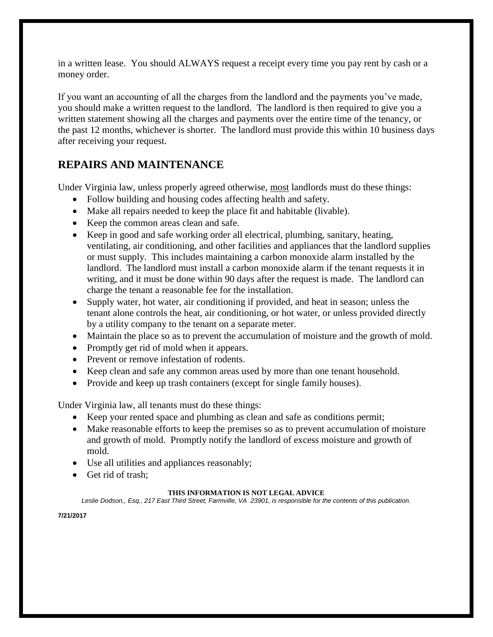in a written lease. You should ALWAYS request a receipt every time you pay rent by cash or a money order.

If you want an accounting of all the charges from the landlord and the payments you've made, you should make a written request to the landlord. The landlord is then required to give you a written statement showing all the charges and payments over the entire time of the tenancy, or the past 12 months, whichever is shorter. The landlord must provide this within 10 business days after receiving your request.

## **REPAIRS AND MAINTENANCE**

Under Virginia law, unless properly agreed otherwise, most landlords must do these things:

- Follow building and housing codes affecting health and safety.
- Make all repairs needed to keep the place fit and habitable (livable).
- Keep the common areas clean and safe.
- Keep in good and safe working order all electrical, plumbing, sanitary, heating, ventilating, air conditioning, and other facilities and appliances that the landlord supplies or must supply. This includes maintaining a carbon monoxide alarm installed by the landlord. The landlord must install a carbon monoxide alarm if the tenant requests it in writing, and it must be done within 90 days after the request is made. The landlord can charge the tenant a reasonable fee for the installation.
- Supply water, hot water, air conditioning if provided, and heat in season; unless the tenant alone controls the heat, air conditioning, or hot water, or unless provided directly by a utility company to the tenant on a separate meter.
- Maintain the place so as to prevent the accumulation of moisture and the growth of mold.
- Promptly get rid of mold when it appears.
- Prevent or remove infestation of rodents.
- Keep clean and safe any common areas used by more than one tenant household.
- Provide and keep up trash containers (except for single family houses).

Under Virginia law, all tenants must do these things:

- Keep your rented space and plumbing as clean and safe as conditions permit;
- Make reasonable efforts to keep the premises so as to prevent accumulation of moisture and growth of mold. Promptly notify the landlord of excess moisture and growth of mold.
- Use all utilities and appliances reasonably;
- Get rid of trash:

#### **THIS INFORMATION IS NOT LEGAL ADVICE**

*Leslie Dodson,, Esq., 217 East Third Street, Farmville, VA 23901, is responsible for the contents of this publication.*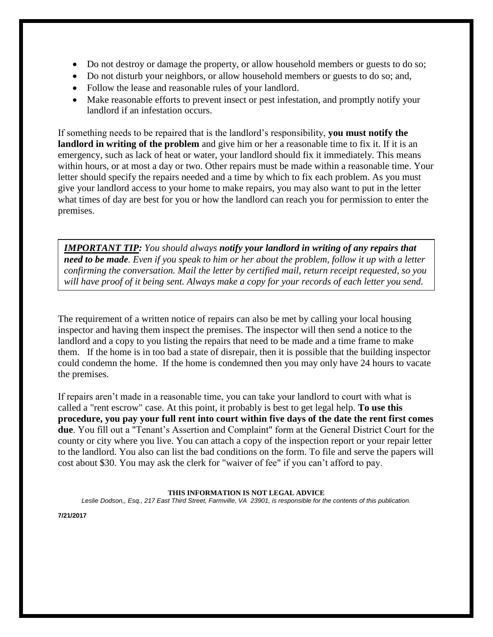- Do not destroy or damage the property, or allow household members or guests to do so;
- Do not disturb your neighbors, or allow household members or guests to do so; and,
- Follow the lease and reasonable rules of your landlord.
- Make reasonable efforts to prevent insect or pest infestation, and promptly notify your landlord if an infestation occurs.

If something needs to be repaired that is the landlord's responsibility, **you must notify the landlord in writing of the problem** and give him or her a reasonable time to fix it. If it is an emergency, such as lack of heat or water, your landlord should fix it immediately. This means within hours, or at most a day or two. Other repairs must be made within a reasonable time. Your letter should specify the repairs needed and a time by which to fix each problem. As you must give your landlord access to your home to make repairs, you may also want to put in the letter what times of day are best for you or how the landlord can reach you for permission to enter the premises.

*IMPORTANT TIP: You should always notify your landlord in writing of any repairs that need to be made. Even if you speak to him or her about the problem, follow it up with a letter confirming the conversation. Mail the letter by certified mail, return receipt requested, so you will have proof of it being sent. Always make a copy for your records of each letter you send.*

The requirement of a written notice of repairs can also be met by calling your local housing inspector and having them inspect the premises. The inspector will then send a notice to the landlord and a copy to you listing the repairs that need to be made and a time frame to make them. If the home is in too bad a state of disrepair, then it is possible that the building inspector could condemn the home. If the home is condemned then you may only have 24 hours to vacate the premises.

If repairs aren't made in a reasonable time, you can take your landlord to court with what is called a "rent escrow" case. At this point, it probably is best to get legal help. **To use this procedure, you pay your full rent into court within five days of the date the rent first comes due**. You fill out a "Tenant's Assertion and Complaint" form at the General District Court for the county or city where you live. You can attach a copy of the inspection report or your repair letter to the landlord. You also can list the bad conditions on the form. To file and serve the papers will cost about \$30. You may ask the clerk for "waiver of fee" if you can't afford to pay.

#### **THIS INFORMATION IS NOT LEGAL ADVICE**

*Leslie Dodson,, Esq., 217 East Third Street, Farmville, VA 23901, is responsible for the contents of this publication.*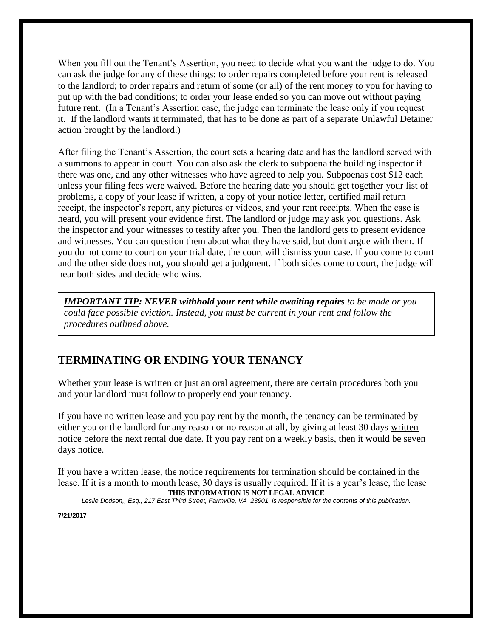When you fill out the Tenant's Assertion, you need to decide what you want the judge to do. You can ask the judge for any of these things: to order repairs completed before your rent is released to the landlord; to order repairs and return of some (or all) of the rent money to you for having to put up with the bad conditions; to order your lease ended so you can move out without paying future rent. (In a Tenant's Assertion case, the judge can terminate the lease only if you request it. If the landlord wants it terminated, that has to be done as part of a separate Unlawful Detainer action brought by the landlord.)

After filing the Tenant's Assertion, the court sets a hearing date and has the landlord served with a summons to appear in court. You can also ask the clerk to subpoena the building inspector if there was one, and any other witnesses who have agreed to help you. Subpoenas cost \$12 each unless your filing fees were waived. Before the hearing date you should get together your list of problems, a copy of your lease if written, a copy of your notice letter, certified mail return receipt, the inspector's report, any pictures or videos, and your rent receipts. When the case is heard, you will present your evidence first. The landlord or judge may ask you questions. Ask the inspector and your witnesses to testify after you. Then the landlord gets to present evidence and witnesses. You can question them about what they have said, but don't argue with them. If you do not come to court on your trial date, the court will dismiss your case. If you come to court and the other side does not, you should get a judgment. If both sides come to court, the judge will hear both sides and decide who wins.

*IMPORTANT TIP: NEVER withhold your rent while awaiting repairs to be made or you could face possible eviction. Instead, you must be current in your rent and follow the procedures outlined above.* 

# **TERMINATING OR ENDING YOUR TENANCY**

Whether your lease is written or just an oral agreement, there are certain procedures both you and your landlord must follow to properly end your tenancy.

If you have no written lease and you pay rent by the month, the tenancy can be terminated by either you or the landlord for any reason or no reason at all, by giving at least 30 days written notice before the next rental due date. If you pay rent on a weekly basis, then it would be seven days notice.

**THIS INFORMATION IS NOT LEGAL ADVICE** If you have a written lease, the notice requirements for termination should be contained in the lease. If it is a month to month lease, 30 days is usually required. If it is a year's lease, the lease

*Leslie Dodson,, Esq., 217 East Third Street, Farmville, VA 23901, is responsible for the contents of this publication.*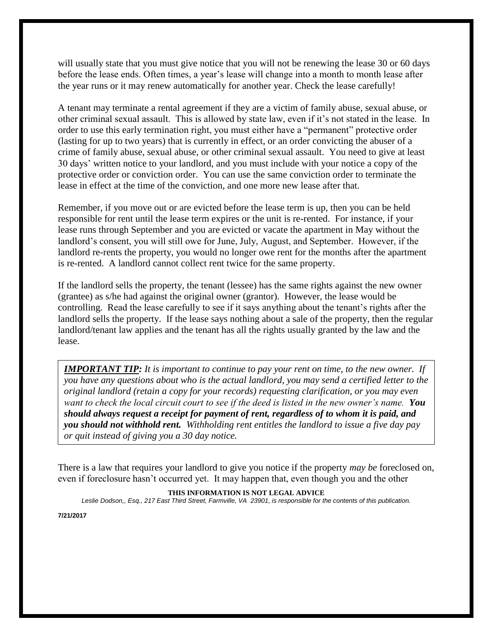will usually state that you must give notice that you will not be renewing the lease 30 or 60 days before the lease ends. Often times, a year's lease will change into a month to month lease after the year runs or it may renew automatically for another year. Check the lease carefully!

A tenant may terminate a rental agreement if they are a victim of family abuse, sexual abuse, or other criminal sexual assault. This is allowed by state law, even if it's not stated in the lease. In order to use this early termination right, you must either have a "permanent" protective order (lasting for up to two years) that is currently in effect, or an order convicting the abuser of a crime of family abuse, sexual abuse, or other criminal sexual assault. You need to give at least 30 days' written notice to your landlord, and you must include with your notice a copy of the protective order or conviction order. You can use the same conviction order to terminate the lease in effect at the time of the conviction, and one more new lease after that.

Remember, if you move out or are evicted before the lease term is up, then you can be held responsible for rent until the lease term expires or the unit is re-rented. For instance, if your lease runs through September and you are evicted or vacate the apartment in May without the landlord's consent, you will still owe for June, July, August, and September. However, if the landlord re-rents the property, you would no longer owe rent for the months after the apartment is re-rented. A landlord cannot collect rent twice for the same property.

If the landlord sells the property, the tenant (lessee) has the same rights against the new owner (grantee) as s/he had against the original owner (grantor). However, the lease would be controlling. Read the lease carefully to see if it says anything about the tenant's rights after the landlord sells the property. If the lease says nothing about a sale of the property, then the regular landlord/tenant law applies and the tenant has all the rights usually granted by the law and the lease.

*IMPORTANT TIP: It is important to continue to pay your rent on time, to the new owner. If you have any questions about who is the actual landlord, you may send a certified letter to the original landlord (retain a copy for your records) requesting clarification, or you may even want to check the local circuit court to see if the deed is listed in the new owner's name. You should always request a receipt for payment of rent, regardless of to whom it is paid, and you should not withhold rent. Withholding rent entitles the landlord to issue a five day pay or quit instead of giving you a 30 day notice.*

There is a law that requires your landlord to give you notice if the property *may be* foreclosed on, even if foreclosure hasn't occurred yet. It may happen that, even though you and the other

#### **THIS INFORMATION IS NOT LEGAL ADVICE**

*Leslie Dodson,, Esq., 217 East Third Street, Farmville, VA 23901, is responsible for the contents of this publication.*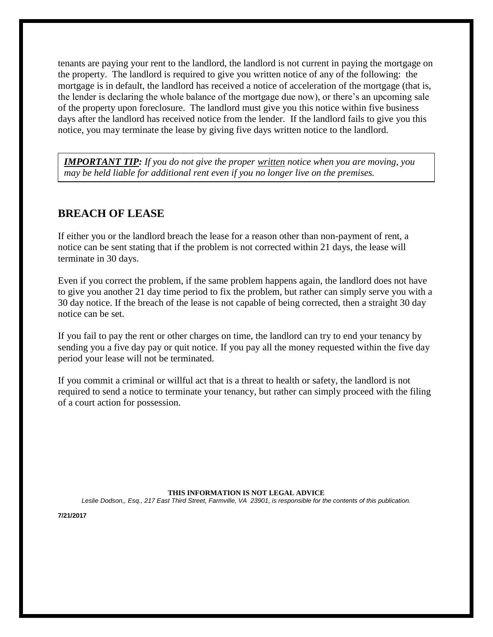tenants are paying your rent to the landlord, the landlord is not current in paying the mortgage on the property. The landlord is required to give you written notice of any of the following: the mortgage is in default, the landlord has received a notice of acceleration of the mortgage (that is, the lender is declaring the whole balance of the mortgage due now), or there's an upcoming sale of the property upon foreclosure. The landlord must give you this notice within five business days after the landlord has received notice from the lender. If the landlord fails to give you this notice, you may terminate the lease by giving five days written notice to the landlord.

*IMPORTANT TIP: If you do not give the proper written notice when you are moving, you may be held liable for additional rent even if you no longer live on the premises.*

### **BREACH OF LEASE**

If either you or the landlord breach the lease for a reason other than non-payment of rent, a notice can be sent stating that if the problem is not corrected within 21 days, the lease will terminate in 30 days.

Even if you correct the problem, if the same problem happens again, the landlord does not have to give you another 21 day time period to fix the problem, but rather can simply serve you with a 30 day notice. If the breach of the lease is not capable of being corrected, then a straight 30 day notice can be set.

If you fail to pay the rent or other charges on time, the landlord can try to end your tenancy by sending you a five day pay or quit notice. If you pay all the money requested within the five day period your lease will not be terminated.

If you commit a criminal or willful act that is a threat to health or safety, the landlord is not required to send a notice to terminate your tenancy, but rather can simply proceed with the filing of a court action for possession.

**THIS INFORMATION IS NOT LEGAL ADVICE** *Leslie Dodson,, Esq., 217 East Third Street, Farmville, VA 23901, is responsible for the contents of this publication.*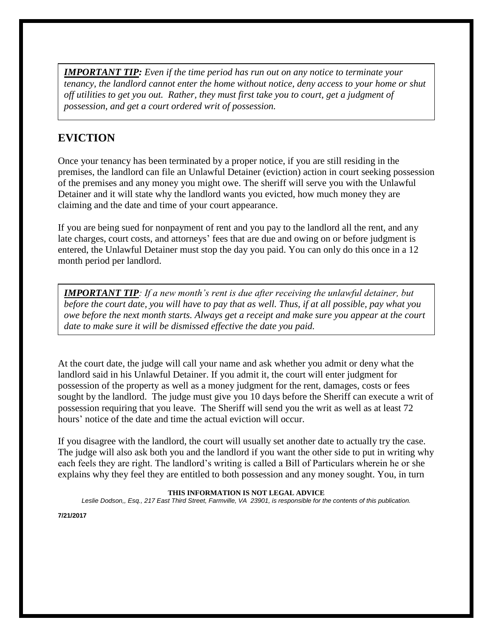*IMPORTANT TIP: Even if the time period has run out on any notice to terminate your tenancy, the landlord cannot enter the home without notice, deny access to your home or shut off utilities to get you out. Rather, they must first take you to court, get a judgment of possession, and get a court ordered writ of possession.*

# **EVICTION**

Once your tenancy has been terminated by a proper notice, if you are still residing in the premises, the landlord can file an Unlawful Detainer (eviction) action in court seeking possession of the premises and any money you might owe. The sheriff will serve you with the Unlawful Detainer and it will state why the landlord wants you evicted, how much money they are claiming and the date and time of your court appearance.

If you are being sued for nonpayment of rent and you pay to the landlord all the rent, and any late charges, court costs, and attorneys' fees that are due and owing on or before judgment is entered, the Unlawful Detainer must stop the day you paid. You can only do this once in a 12 month period per landlord.

*IMPORTANT TIP: If a new month's rent is due after receiving the unlawful detainer, but before the court date, you will have to pay that as well. Thus, if at all possible, pay what you owe before the next month starts. Always get a receipt and make sure you appear at the court date to make sure it will be dismissed effective the date you paid.* 

At the court date, the judge will call your name and ask whether you admit or deny what the landlord said in his Unlawful Detainer. If you admit it, the court will enter judgment for possession of the property as well as a money judgment for the rent, damages, costs or fees sought by the landlord. The judge must give you 10 days before the Sheriff can execute a writ of possession requiring that you leave. The Sheriff will send you the writ as well as at least 72 hours' notice of the date and time the actual eviction will occur.

If you disagree with the landlord, the court will usually set another date to actually try the case. The judge will also ask both you and the landlord if you want the other side to put in writing why each feels they are right. The landlord's writing is called a Bill of Particulars wherein he or she explains why they feel they are entitled to both possession and any money sought. You, in turn

#### **THIS INFORMATION IS NOT LEGAL ADVICE**

*Leslie Dodson,, Esq., 217 East Third Street, Farmville, VA 23901, is responsible for the contents of this publication.*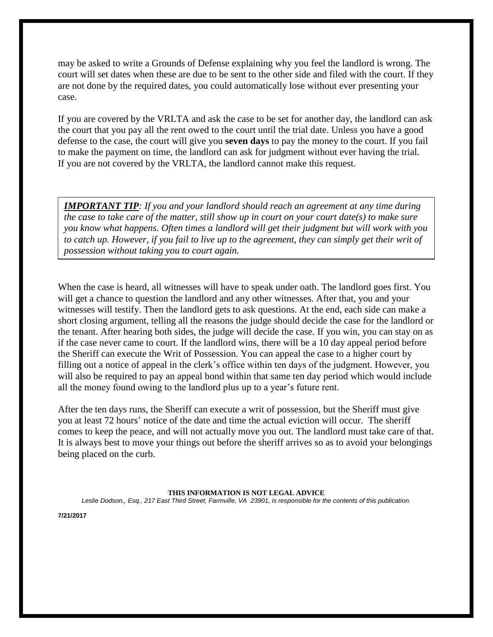may be asked to write a Grounds of Defense explaining why you feel the landlord is wrong. The court will set dates when these are due to be sent to the other side and filed with the court. If they are not done by the required dates, you could automatically lose without ever presenting your case.

If you are covered by the VRLTA and ask the case to be set for another day, the landlord can ask the court that you pay all the rent owed to the court until the trial date. Unless you have a good defense to the case, the court will give you **seven days** to pay the money to the court. If you fail to make the payment on time, the landlord can ask for judgment without ever having the trial. If you are not covered by the VRLTA, the landlord cannot make this request.

*IMPORTANT TIP: If you and your landlord should reach an agreement at any time during the case to take care of the matter, still show up in court on your court date(s) to make sure you know what happens. Often times a landlord will get their judgment but will work with you to catch up. However, if you fail to live up to the agreement, they can simply get their writ of possession without taking you to court again.* 

When the case is heard, all witnesses will have to speak under oath. The landlord goes first. You will get a chance to question the landlord and any other witnesses. After that, you and your witnesses will testify. Then the landlord gets to ask questions. At the end, each side can make a short closing argument, telling all the reasons the judge should decide the case for the landlord or the tenant. After hearing both sides, the judge will decide the case. If you win, you can stay on as if the case never came to court. If the landlord wins, there will be a 10 day appeal period before the Sheriff can execute the Writ of Possession. You can appeal the case to a higher court by filling out a notice of appeal in the clerk's office within ten days of the judgment. However, you will also be required to pay an appeal bond within that same ten day period which would include all the money found owing to the landlord plus up to a year's future rent.

After the ten days runs, the Sheriff can execute a writ of possession, but the Sheriff must give you at least 72 hours' notice of the date and time the actual eviction will occur. The sheriff comes to keep the peace, and will not actually move you out. The landlord must take care of that. It is always best to move your things out before the sheriff arrives so as to avoid your belongings being placed on the curb.

**THIS INFORMATION IS NOT LEGAL ADVICE** *Leslie Dodson,, Esq., 217 East Third Street, Farmville, VA 23901, is responsible for the contents of this publication.*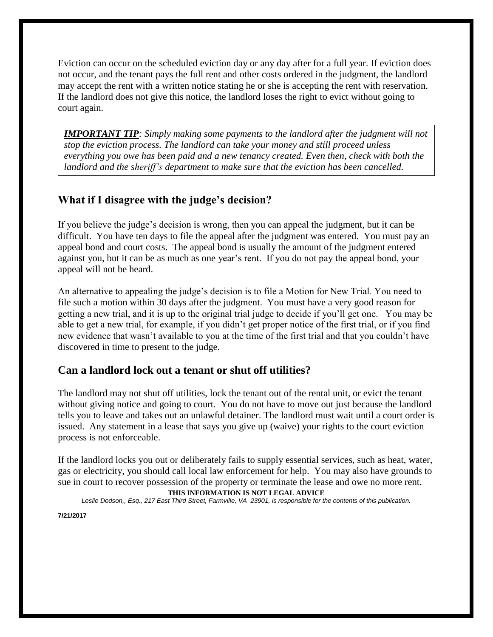Eviction can occur on the scheduled eviction day or any day after for a full year. If eviction does not occur, and the tenant pays the full rent and other costs ordered in the judgment, the landlord may accept the rent with a written notice stating he or she is accepting the rent with reservation. If the landlord does not give this notice, the landlord loses the right to evict without going to court again.

*IMPORTANT TIP: Simply making some payments to the landlord after the judgment will not stop the eviction process. The landlord can take your money and still proceed unless everything you owe has been paid and a new tenancy created. Even then, check with both the landlord and the sheriff's department to make sure that the eviction has been cancelled.*

### **What if I disagree with the judge's decision?**

If you believe the judge's decision is wrong, then you can appeal the judgment, but it can be difficult. You have ten days to file the appeal after the judgment was entered. You must pay an appeal bond and court costs. The appeal bond is usually the amount of the judgment entered against you, but it can be as much as one year's rent. If you do not pay the appeal bond, your appeal will not be heard.

An alternative to appealing the judge's decision is to file a Motion for New Trial. You need to file such a motion within 30 days after the judgment. You must have a very good reason for getting a new trial, and it is up to the original trial judge to decide if you'll get one. You may be able to get a new trial, for example, if you didn't get proper notice of the first trial, or if you find new evidence that wasn't available to you at the time of the first trial and that you couldn't have discovered in time to present to the judge.

### **Can a landlord lock out a tenant or shut off utilities?**

The landlord may not shut off utilities, lock the tenant out of the rental unit, or evict the tenant without giving notice and going to court. You do not have to move out just because the landlord tells you to leave and takes out an unlawful detainer. The landlord must wait until a court order is issued. Any statement in a lease that says you give up (waive) your rights to the court eviction process is not enforceable.

If the landlord locks you out or deliberately fails to supply essential services, such as heat, water, gas or electricity, you should call local law enforcement for help. You may also have grounds to sue in court to recover possession of the property or terminate the lease and owe no more rent.

#### **THIS INFORMATION IS NOT LEGAL ADVICE**

*Leslie Dodson,, Esq., 217 East Third Street, Farmville, VA 23901, is responsible for the contents of this publication.*